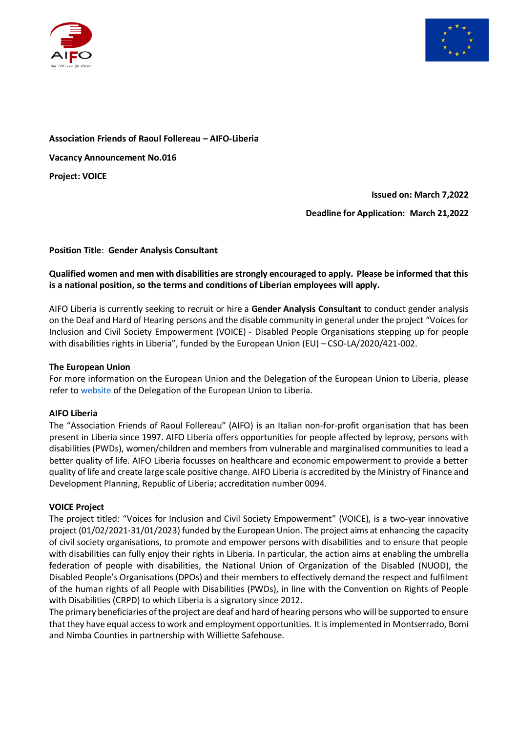



# **Association Friends of Raoul Follereau – AIFO-Liberia Vacancy Announcement No.016 Project: VOICE**

**Issued on: March 7,2022**

**Deadline for Application: March 21,2022**

# **Position Title**: **Gender Analysis Consultant**

#### **Qualified women and men with disabilities are strongly encouraged to apply. Please be informed that this is a national position, so the terms and conditions of Liberian employees will apply.**

AIFO Liberia is currently seeking to recruit or hire a **Gender Analysis Consultant** to conduct gender analysis on the Deaf and Hard of Hearing persons and the disable community in general under the project "Voices for Inclusion and Civil Society Empowerment (VOICE) - Disabled People Organisations stepping up for people with disabilities rights in Liberia", funded by the European Union (EU) – CSO-LA/2020/421-002.

#### **The European Union**

For more information on the European Union and the Delegation of the European Union to Liberia, please refer to [website](https://eeas.europa.eu/delegations/liberia_en) of the Delegation of the European Union to Liberia.

#### **AIFO Liberia**

The "Association Friends of Raoul Follereau" (AIFO) is an Italian non-for-profit organisation that has been present in Liberia since 1997. AIFO Liberia offers opportunities for people affected by leprosy, persons with disabilities (PWDs), women/children and members from vulnerable and marginalised communities to lead a better quality of life. AIFO Liberia focusses on healthcare and economic empowerment to provide a better quality of life and create large scale positive change. AIFO Liberia is accredited by the Ministry of Finance and Development Planning, Republic of Liberia; accreditation number 0094.

#### **VOICE Project**

The project titled: "Voices for Inclusion and Civil Society Empowerment" (VOICE), is a two-year innovative project (01/02/2021-31/01/2023) funded by the European Union. The project aims at enhancing the capacity of civil society organisations, to promote and empower persons with disabilities and to ensure that people with disabilities can fully enjoy their rights in Liberia. In particular, the action aims at enabling the umbrella federation of people with disabilities, the National Union of Organization of the Disabled (NUOD), the Disabled People's Organisations (DPOs) and their members to effectively demand the respect and fulfilment of the human rights of all People with Disabilities (PWDs), in line with the Convention on Rights of People with Disabilities (CRPD) to which Liberia is a signatory since 2012.

The primary beneficiaries of the project are deaf and hard of hearing persons who will be supported to ensure that they have equal access to work and employment opportunities. It is implemented in Montserrado, Bomi and Nimba Counties in partnership with Williette Safehouse.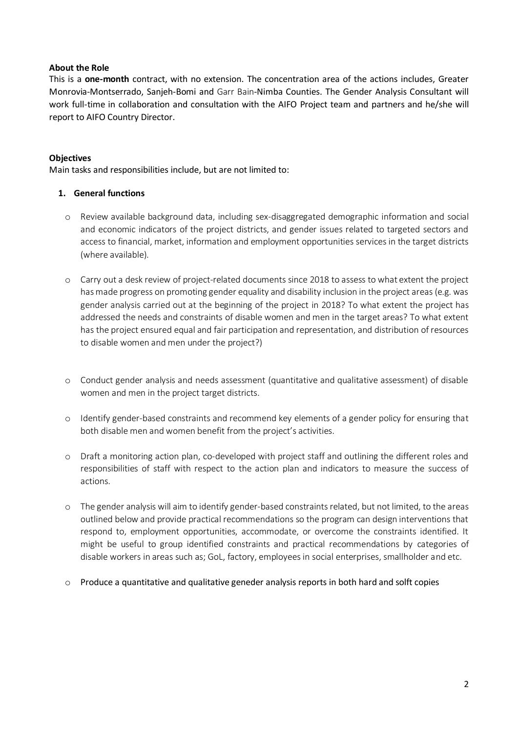#### **About the Role**

This is a **one-month** contract, with no extension. The concentration area of the actions includes, Greater Monrovia-Montserrado, Sanjeh-Bomi and Garr Bain-Nimba Counties. The Gender Analysis Consultant will work full-time in collaboration and consultation with the AIFO Project team and partners and he/she will report to AIFO Country Director.

#### **Objectives**

Main tasks and responsibilities include, but are not limited to:

#### **1. General functions**

- o Review available background data, including sex-disaggregated demographic information and social and economic indicators of the project districts, and gender issues related to targeted sectors and access to financial, market, information and employment opportunities services in the target districts (where available).
- o Carry out a desk review of project-related documents since 2018 to assess to what extent the project has made progress on promoting gender equality and disability inclusion in the project areas (e.g. was gender analysis carried out at the beginning of the project in 2018? To what extent the project has addressed the needs and constraints of disable women and men in the target areas? To what extent has the project ensured equal and fair participation and representation, and distribution of resources to disable women and men under the project?)
- o Conduct gender analysis and needs assessment (quantitative and qualitative assessment) of disable women and men in the project target districts.
- o Identify gender-based constraints and recommend key elements of a gender policy for ensuring that both disable men and women benefit from the project's activities.
- o Draft a monitoring action plan, co-developed with project staff and outlining the different roles and responsibilities of staff with respect to the action plan and indicators to measure the success of actions.
- o The gender analysis will aim to identify gender-based constraints related, but not limited, to the areas outlined below and provide practical recommendations so the program can design interventions that respond to, employment opportunities, accommodate, or overcome the constraints identified. It might be useful to group identified constraints and practical recommendations by categories of disable workers in areas such as; GoL, factory, employees in social enterprises, smallholder and etc.
- $\circ$  Produce a quantitative and qualitative geneder analysis reports in both hard and solft copies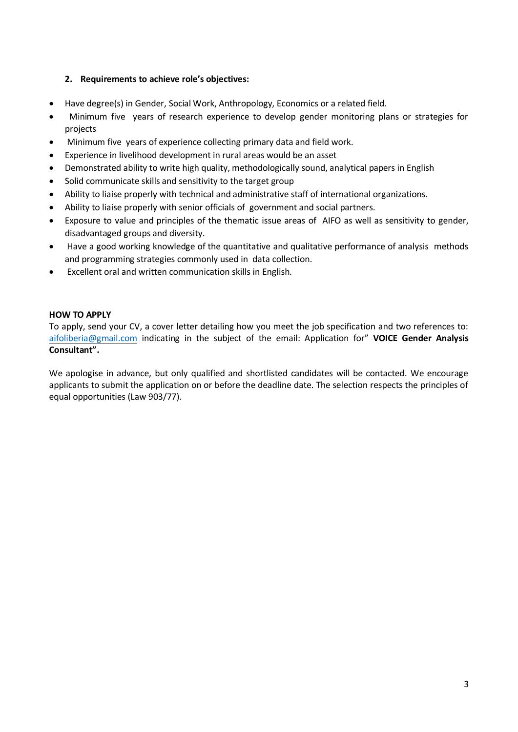#### **2. Requirements to achieve role's objectives:**

- Have degree(s) in Gender, Social Work, Anthropology, Economics or a related field.
- Minimum five years of research experience to develop gender monitoring plans or strategies for projects
- Minimum five years of experience collecting primary data and field work.
- Experience in livelihood development in rural areas would be an asset
- Demonstrated ability to write high quality, methodologically sound, analytical papers in English
- Solid communicate skills and sensitivity to the target group
- Ability to liaise properly with technical and administrative staff of international organizations.
- Ability to liaise properly with senior officials of government and social partners.
- Exposure to value and principles of the thematic issue areas of AIFO as well as sensitivity to gender, disadvantaged groups and diversity.
- Have a good working knowledge of the quantitative and qualitative performance of analysis methods and programming strategies commonly used in data collection.
- Excellent oral and written communication skills in English.

#### **HOW TO APPLY**

To apply, send your CV, a cover letter detailing how you meet the job specification and two references to: [aifoliberia@gmail.com](mailto:aifoliberia@gmail.com) indicating in the subject of the email: Application for" **VOICE Gender Analysis Consultant".**

We apologise in advance, but only qualified and shortlisted candidates will be contacted. We encourage applicants to submit the application on or before the deadline date. The selection respects the principles of equal opportunities (Law 903/77).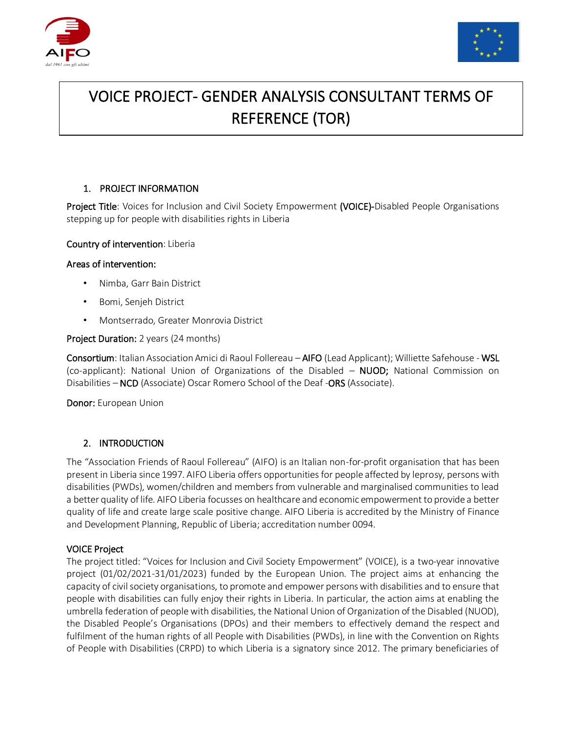



# VOICE PROJECT- GENDER ANALYSIS CONSULTANT TERMS OF REFERENCE (TOR)

# 1. PROJECT INFORMATION

Project Title: Voices for Inclusion and Civil Society Empowerment (VOICE)-Disabled People Organisations stepping up for people with disabilities rights in Liberia

#### Country of intervention: Liberia

#### Areas of intervention:

- Nimba, Garr Bain District
- Bomi, Senjeh District
- Montserrado, Greater Monrovia District

#### Project Duration: 2 years (24 months)

Consortium: Italian Association Amici di Raoul Follereau – AIFO (Lead Applicant); Williette Safehouse - WSL (co-applicant): National Union of Organizations of the Disabled – NUOD; National Commission on Disabilities – NCD (Associate) Oscar Romero School of the Deaf -ORS (Associate).

Donor: European Union

#### 2. INTRODUCTION

The "Association Friends of Raoul Follereau" (AIFO) is an Italian non-for-profit organisation that has been present in Liberia since 1997. AIFO Liberia offers opportunities for people affected by leprosy, persons with disabilities (PWDs), women/children and members from vulnerable and marginalised communities to lead a better quality of life. AIFO Liberia focusses on healthcare and economic empowerment to provide a better quality of life and create large scale positive change. AIFO Liberia is accredited by the Ministry of Finance and Development Planning, Republic of Liberia; accreditation number 0094.

#### VOICE Project

The project titled: "Voices for Inclusion and Civil Society Empowerment" (VOICE), is a two-year innovative project (01/02/2021-31/01/2023) funded by the European Union. The project aims at enhancing the capacity of civil society organisations, to promote and empower persons with disabilities and to ensure that people with disabilities can fully enjoy their rights in Liberia. In particular, the action aims at enabling the umbrella federation of people with disabilities, the National Union of Organization of the Disabled (NUOD), the Disabled People's Organisations (DPOs) and their members to effectively demand the respect and fulfilment of the human rights of all People with Disabilities (PWDs), in line with the Convention on Rights of People with Disabilities (CRPD) to which Liberia is a signatory since 2012. The primary beneficiaries of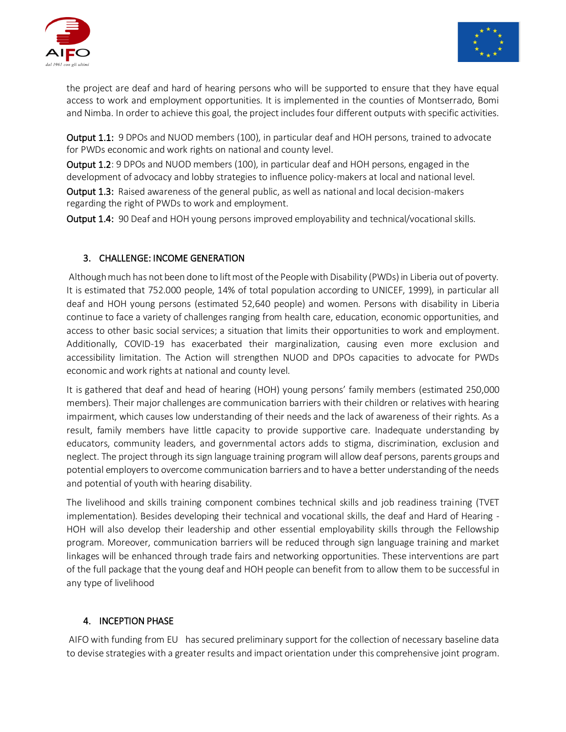



the project are deaf and hard of hearing persons who will be supported to ensure that they have equal access to work and employment opportunities. It is implemented in the counties of Montserrado, Bomi and Nimba. In order to achieve this goal, the project includes four different outputs with specific activities.

Output 1.1: 9 DPOs and NUOD members (100), in particular deaf and HOH persons, trained to advocate for PWDs economic and work rights on national and county level.

Output 1.2: 9 DPOs and NUOD members (100), in particular deaf and HOH persons, engaged in the development of advocacy and lobby strategies to influence policy-makers at local and national level.

Output 1.3: Raised awareness of the general public, as well as national and local decision-makers regarding the right of PWDs to work and employment.

Output 1.4: 90 Deaf and HOH young persons improved employability and technical/vocational skills.

# 3. CHALLENGE: INCOME GENERATION

Although much has not been done to lift most of the People with Disability (PWDs) in Liberia out of poverty. It is estimated that 752.000 people, 14% of total population according to UNICEF, 1999), in particular all deaf and HOH young persons (estimated 52,640 people) and women. Persons with disability in Liberia continue to face a variety of challenges ranging from health care, education, economic opportunities, and access to other basic social services; a situation that limits their opportunities to work and employment. Additionally, COVID-19 has exacerbated their marginalization, causing even more exclusion and accessibility limitation. The Action will strengthen NUOD and DPOs capacities to advocate for PWDs economic and work rights at national and county level.

It is gathered that deaf and head of hearing (HOH) young persons' family members (estimated 250,000 members). Their major challenges are communication barriers with their children or relatives with hearing impairment, which causes low understanding of their needs and the lack of awareness of their rights. As a result, family members have little capacity to provide supportive care. Inadequate understanding by educators, community leaders, and governmental actors adds to stigma, discrimination, exclusion and neglect. The project through its sign language training program will allow deaf persons, parents groups and potential employers to overcome communication barriers and to have a better understanding of the needs and potential of youth with hearing disability.

The livelihood and skills training component combines technical skills and job readiness training (TVET implementation). Besides developing their technical and vocational skills, the deaf and Hard of Hearing - HOH will also develop their leadership and other essential employability skills through the Fellowship program. Moreover, communication barriers will be reduced through sign language training and market linkages will be enhanced through trade fairs and networking opportunities. These interventions are part of the full package that the young deaf and HOH people can benefit from to allow them to be successful in any type of livelihood

# 4. INCEPTION PHASE

AIFO with funding from EU has secured preliminary support for the collection of necessary baseline data to devise strategies with a greater results and impact orientation under this comprehensive joint program.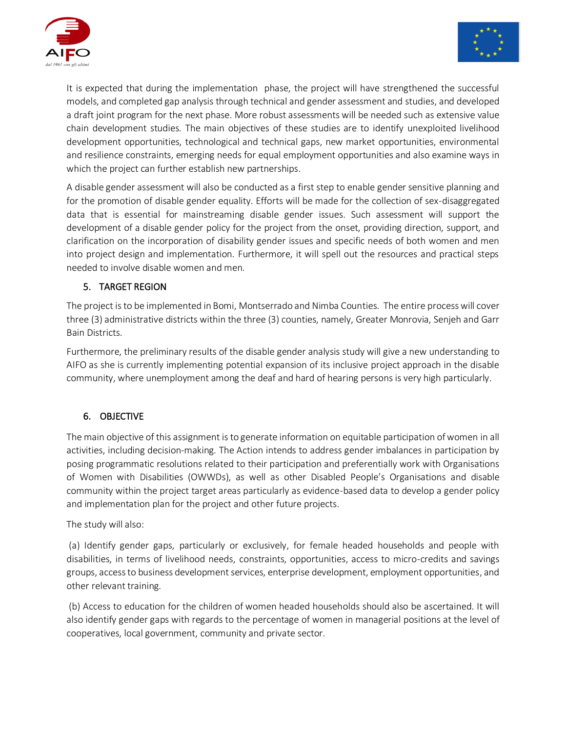



It is expected that during the implementation phase, the project will have strengthened the successful models, and completed gap analysis through technical and gender assessment and studies, and developed a draft joint program for the next phase. More robust assessments will be needed such as extensive value chain development studies. The main objectives of these studies are to identify unexploited livelihood development opportunities, technological and technical gaps, new market opportunities, environmental and resilience constraints, emerging needs for equal employment opportunities and also examine ways in which the project can further establish new partnerships.

A disable gender assessment will also be conducted as a first step to enable gender sensitive planning and for the promotion of disable gender equality. Efforts will be made for the collection of sex-disaggregated data that is essential for mainstreaming disable gender issues. Such assessment will support the development of a disable gender policy for the project from the onset, providing direction, support, and clarification on the incorporation of disability gender issues and specific needs of both women and men into project design and implementation. Furthermore, it will spell out the resources and practical steps needed to involve disable women and men.

# 5. TARGET REGION

The project is to be implemented in Bomi, Montserrado and Nimba Counties. The entire process will cover three (3) administrative districts within the three (3) counties, namely, Greater Monrovia, Senjeh and Garr Bain Districts.

Furthermore, the preliminary results of the disable gender analysis study will give a new understanding to AIFO as she is currently implementing potential expansion of its inclusive project approach in the disable community, where unemployment among the deaf and hard of hearing persons is very high particularly.

# 6. OBJECTIVE

The main objective of this assignment is to generate information on equitable participation of women in all activities, including decision-making. The Action intends to address gender imbalances in participation by posing programmatic resolutions related to their participation and preferentially work with Organisations of Women with Disabilities (OWWDs), as well as other Disabled People's Organisations and disable community within the project target areas particularly as evidence-based data to develop a gender policy and implementation plan for the project and other future projects.

The study will also:

(a) Identify gender gaps, particularly or exclusively, for female headed households and people with disabilities, in terms of livelihood needs, constraints, opportunities, access to micro-credits and savings groups, access to business development services, enterprise development, employment opportunities, and other relevant training.

(b) Access to education for the children of women headed households should also be ascertained. It will also identify gender gaps with regards to the percentage of women in managerial positions at the level of cooperatives, local government, community and private sector.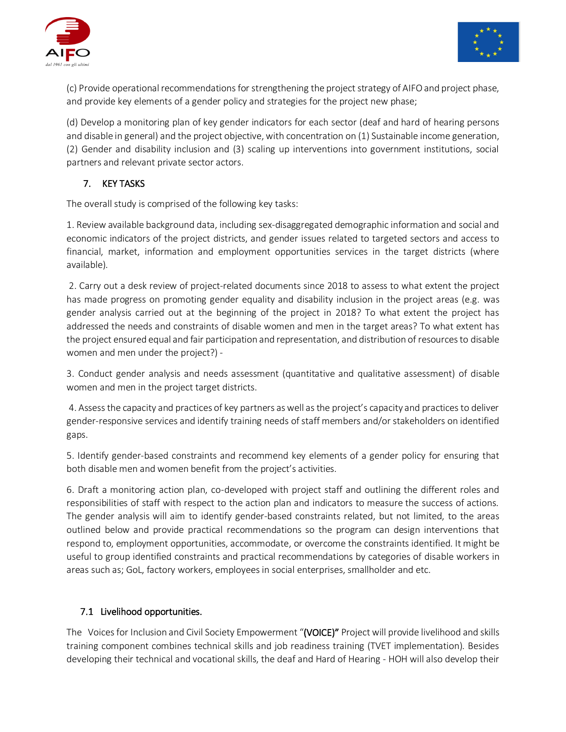



(c) Provide operational recommendations for strengthening the project strategy of AIFO and project phase, and provide key elements of a gender policy and strategies for the project new phase;

(d) Develop a monitoring plan of key gender indicators for each sector (deaf and hard of hearing persons and disable in general) and the project objective, with concentration on (1) Sustainable income generation, (2) Gender and disability inclusion and (3) scaling up interventions into government institutions, social partners and relevant private sector actors.

# 7. KEY TASKS

The overall study is comprised of the following key tasks:

1. Review available background data, including sex-disaggregated demographic information and social and economic indicators of the project districts, and gender issues related to targeted sectors and access to financial, market, information and employment opportunities services in the target districts (where available).

2. Carry out a desk review of project-related documents since 2018 to assess to what extent the project has made progress on promoting gender equality and disability inclusion in the project areas (e.g. was gender analysis carried out at the beginning of the project in 2018? To what extent the project has addressed the needs and constraints of disable women and men in the target areas? To what extent has the project ensured equal and fair participation and representation, and distribution of resources to disable women and men under the project?) -

3. Conduct gender analysis and needs assessment (quantitative and qualitative assessment) of disable women and men in the project target districts.

4. Assess the capacity and practices of key partners as well as the project's capacity and practices to deliver gender-responsive services and identify training needs of staff members and/or stakeholders on identified gaps.

5. Identify gender-based constraints and recommend key elements of a gender policy for ensuring that both disable men and women benefit from the project's activities.

6. Draft a monitoring action plan, co-developed with project staff and outlining the different roles and responsibilities of staff with respect to the action plan and indicators to measure the success of actions. The gender analysis will aim to identify gender-based constraints related, but not limited, to the areas outlined below and provide practical recommendations so the program can design interventions that respond to, employment opportunities, accommodate, or overcome the constraints identified. It might be useful to group identified constraints and practical recommendations by categories of disable workers in areas such as; GoL, factory workers, employees in social enterprises, smallholder and etc.

# 7.1 Livelihood opportunities.

The Voices for Inclusion and Civil Society Empowerment "(VOICE)" Project will provide livelihood and skills training component combines technical skills and job readiness training (TVET implementation). Besides developing their technical and vocational skills, the deaf and Hard of Hearing - HOH will also develop their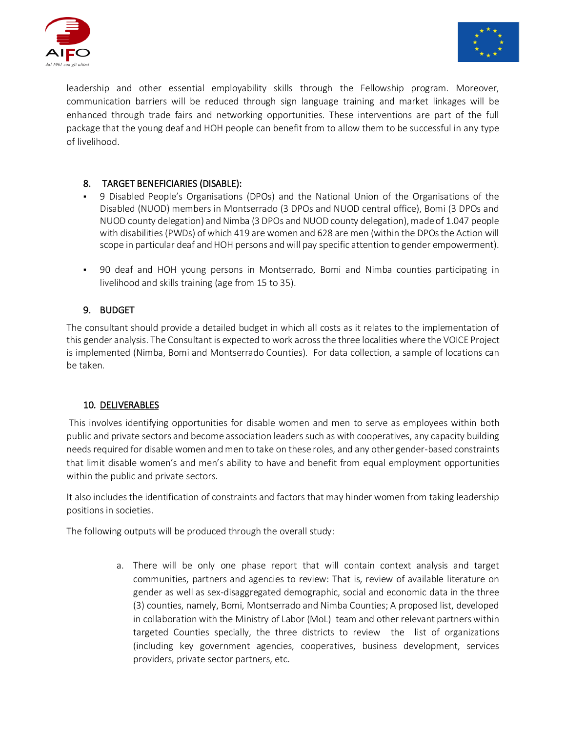



leadership and other essential employability skills through the Fellowship program. Moreover, communication barriers will be reduced through sign language training and market linkages will be enhanced through trade fairs and networking opportunities. These interventions are part of the full package that the young deaf and HOH people can benefit from to allow them to be successful in any type of livelihood.

# 8. TARGET BENEFICIARIES (DISABLE):

- 9 Disabled People's Organisations (DPOs) and the National Union of the Organisations of the Disabled (NUOD) members in Montserrado (3 DPOs and NUOD central office), Bomi (3 DPOs and NUOD county delegation) and Nimba (3 DPOs and NUOD county delegation), made of 1.047 people with disabilities (PWDs) of which 419 are women and 628 are men (within the DPOs the Action will scope in particular deaf and HOH persons and will pay specific attention to gender empowerment).
- 90 deaf and HOH young persons in Montserrado, Bomi and Nimba counties participating in livelihood and skills training (age from 15 to 35).

# 9. BUDGET

The consultant should provide a detailed budget in which all costs as it relates to the implementation of this gender analysis. The Consultant is expected to work across the three localities where the VOICE Project is implemented (Nimba, Bomi and Montserrado Counties). For data collection, a sample of locations can be taken.

# 10. DELIVERABLES

This involves identifying opportunities for disable women and men to serve as employees within both public and private sectors and become association leaders such as with cooperatives, any capacity building needs required for disable women and men to take on these roles, and any other gender-based constraints that limit disable women's and men's ability to have and benefit from equal employment opportunities within the public and private sectors.

It also includes the identification of constraints and factors that may hinder women from taking leadership positions in societies.

The following outputs will be produced through the overall study:

a. There will be only one phase report that will contain context analysis and target communities, partners and agencies to review: That is, review of available literature on gender as well as sex-disaggregated demographic, social and economic data in the three (3) counties, namely, Bomi, Montserrado and Nimba Counties; A proposed list, developed in collaboration with the Ministry of Labor (MoL) team and other relevant partners within targeted Counties specially, the three districts to review the list of organizations (including key government agencies, cooperatives, business development, services providers, private sector partners, etc.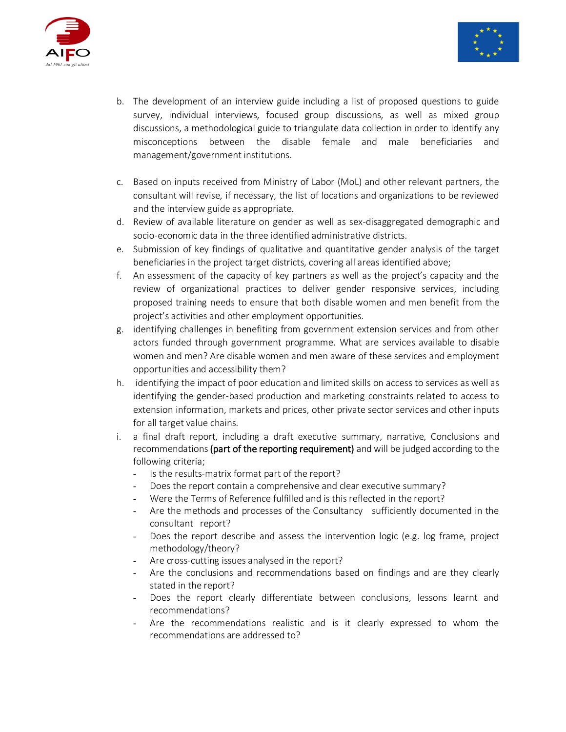



- b. The development of an interview guide including a list of proposed questions to guide survey, individual interviews, focused group discussions, as well as mixed group discussions, a methodological guide to triangulate data collection in order to identify any misconceptions between the disable female and male beneficiaries and management/government institutions.
- c. Based on inputs received from Ministry of Labor (MoL) and other relevant partners, the consultant will revise, if necessary, the list of locations and organizations to be reviewed and the interview guide as appropriate.
- d. Review of available literature on gender as well as sex-disaggregated demographic and socio-economic data in the three identified administrative districts.
- e. Submission of key findings of qualitative and quantitative gender analysis of the target beneficiaries in the project target districts, covering all areas identified above;
- f. An assessment of the capacity of key partners as well as the project's capacity and the review of organizational practices to deliver gender responsive services, including proposed training needs to ensure that both disable women and men benefit from the project's activities and other employment opportunities.
- g. identifying challenges in benefiting from government extension services and from other actors funded through government programme. What are services available to disable women and men? Are disable women and men aware of these services and employment opportunities and accessibility them?
- h. identifying the impact of poor education and limited skills on access to services as well as identifying the gender-based production and marketing constraints related to access to extension information, markets and prices, other private sector services and other inputs for all target value chains.
- i. a final draft report, including a draft executive summary, narrative, Conclusions and recommendations (part of the reporting requirement) and will be judged according to the following criteria;
	- Is the results-matrix format part of the report?
	- Does the report contain a comprehensive and clear executive summary?
	- Were the Terms of Reference fulfilled and is this reflected in the report?
	- Are the methods and processes of the Consultancy sufficiently documented in the consultant report?
	- Does the report describe and assess the intervention logic (e.g. log frame, project methodology/theory?
	- Are cross-cutting issues analysed in the report?
	- Are the conclusions and recommendations based on findings and are they clearly stated in the report?
	- Does the report clearly differentiate between conclusions, lessons learnt and recommendations?
	- Are the recommendations realistic and is it clearly expressed to whom the recommendations are addressed to?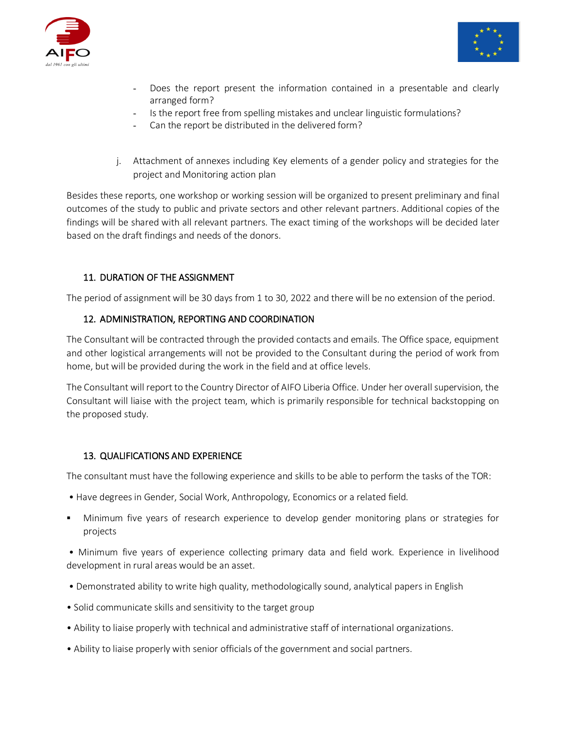



- Does the report present the information contained in a presentable and clearly arranged form?
- Is the report free from spelling mistakes and unclear linguistic formulations?
- Can the report be distributed in the delivered form?
- j. Attachment of annexes including Key elements of a gender policy and strategies for the project and Monitoring action plan

Besides these reports, one workshop or working session will be organized to present preliminary and final outcomes of the study to public and private sectors and other relevant partners. Additional copies of the findings will be shared with all relevant partners. The exact timing of the workshops will be decided later based on the draft findings and needs of the donors.

# 11. DURATION OF THE ASSIGNMENT

The period of assignment will be 30 days from 1 to 30, 2022 and there will be no extension of the period.

#### 12. ADMINISTRATION, REPORTING AND COORDINATION

The Consultant will be contracted through the provided contacts and emails. The Office space, equipment and other logistical arrangements will not be provided to the Consultant during the period of work from home, but will be provided during the work in the field and at office levels.

The Consultant will report to the Country Director of AIFO Liberia Office. Under her overall supervision, the Consultant will liaise with the project team, which is primarily responsible for technical backstopping on the proposed study.

#### 13. QUALIFICATIONS AND EXPERIENCE

The consultant must have the following experience and skills to be able to perform the tasks of the TOR:

- Have degrees in Gender, Social Work, Anthropology, Economics or a related field.
- Minimum five years of research experience to develop gender monitoring plans or strategies for projects

• Minimum five years of experience collecting primary data and field work. Experience in livelihood development in rural areas would be an asset.

- Demonstrated ability to write high quality, methodologically sound, analytical papers in English
- Solid communicate skills and sensitivity to the target group
- Ability to liaise properly with technical and administrative staff of international organizations.
- Ability to liaise properly with senior officials of the government and social partners.